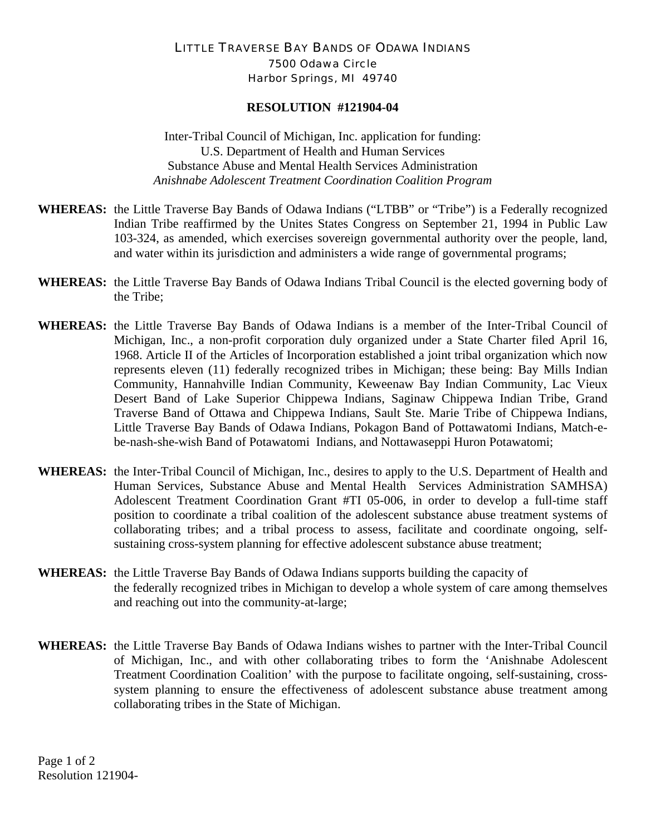## LITTLE TRAVERSE BAY BANDS OF ODAWA INDIANS 7500 Odawa Circle Harbor Springs, MI 49740

## **RESOLUTION #121904-04**

Inter-Tribal Council of Michigan, Inc. application for funding: U.S. Department of Health and Human Services Substance Abuse and Mental Health Services Administration *Anishnabe Adolescent Treatment Coordination Coalition Program* 

- **WHEREAS:** the Little Traverse Bay Bands of Odawa Indians ("LTBB" or "Tribe") is a Federally recognized Indian Tribe reaffirmed by the Unites States Congress on September 21, 1994 in Public Law 103-324, as amended, which exercises sovereign governmental authority over the people, land, and water within its jurisdiction and administers a wide range of governmental programs;
- **WHEREAS:** the Little Traverse Bay Bands of Odawa Indians Tribal Council is the elected governing body of the Tribe;
- **WHEREAS:** the Little Traverse Bay Bands of Odawa Indians is a member of the Inter-Tribal Council of Michigan, Inc., a non-profit corporation duly organized under a State Charter filed April 16, 1968. Article II of the Articles of Incorporation established a joint tribal organization which now represents eleven (11) federally recognized tribes in Michigan; these being: Bay Mills Indian Community, Hannahville Indian Community, Keweenaw Bay Indian Community, Lac Vieux Desert Band of Lake Superior Chippewa Indians, Saginaw Chippewa Indian Tribe, Grand Traverse Band of Ottawa and Chippewa Indians, Sault Ste. Marie Tribe of Chippewa Indians, Little Traverse Bay Bands of Odawa Indians, Pokagon Band of Pottawatomi Indians, Match-ebe-nash-she-wish Band of Potawatomi Indians, and Nottawaseppi Huron Potawatomi;
- **WHEREAS:** the Inter-Tribal Council of Michigan, Inc., desires to apply to the U.S. Department of Health and Human Services, Substance Abuse and Mental Health Services Administration SAMHSA) Adolescent Treatment Coordination Grant #TI 05-006, in order to develop a full-time staff position to coordinate a tribal coalition of the adolescent substance abuse treatment systems of collaborating tribes; and a tribal process to assess, facilitate and coordinate ongoing, selfsustaining cross-system planning for effective adolescent substance abuse treatment;
- **WHEREAS:** the Little Traverse Bay Bands of Odawa Indians supports building the capacity of the federally recognized tribes in Michigan to develop a whole system of care among themselves and reaching out into the community-at-large;
- **WHEREAS:** the Little Traverse Bay Bands of Odawa Indians wishes to partner with the Inter-Tribal Council of Michigan, Inc., and with other collaborating tribes to form the 'Anishnabe Adolescent Treatment Coordination Coalition' with the purpose to facilitate ongoing, self-sustaining, crosssystem planning to ensure the effectiveness of adolescent substance abuse treatment among collaborating tribes in the State of Michigan.